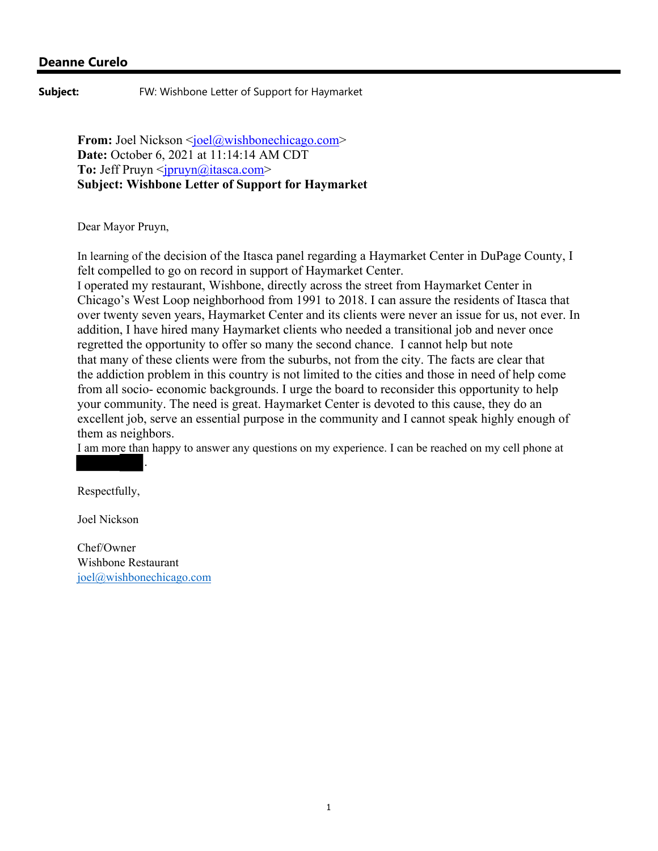**Subject:** FW: Wishbone Letter of Support for Haymarket

**From:** Joel Nickson <*joel@wishbonechicago.com*> **Date:** October 6, 2021 at 11:14:14 AM CDT **To:** Jeff Pruyn  $\langle \overline{p}$  pruyn $\langle \overline{q} \rangle$  itasca.com> **Subject: Wishbone Letter of Support for Haymarket**

Dear Mayor Pruyn,

In learning of the decision of the Itasca panel regarding a Haymarket Center in DuPage County, I felt compelled to go on record in support of Haymarket Center.

I operated my restaurant, Wishbone, directly across the street from Haymarket Center in Chicago's West Loop neighborhood from 1991 to 2018. I can assure the residents of Itasca that over twenty seven years, Haymarket Center and its clients were never an issue for us, not ever. In addition, I have hired many Haymarket clients who needed a transitional job and never once regretted the opportunity to offer so many the second chance. I cannot help but note that many of these clients were from the suburbs, not from the city. The facts are clear that the addiction problem in this country is not limited to the cities and those in need of help come from all socio- economic backgrounds. I urge the board to reconsider this opportunity to help your community. The need is great. Haymarket Center is devoted to this cause, they do an excellent job, serve an essential purpose in the community and I cannot speak highly enough of them as neighbors.

I am more than happy to answer any questions on my experience. I can be reached on my cell phone at

Respectfully,

Joel Nickson

Chef/Owner Wishbone Restaurant joel@wishbonechicago.com

.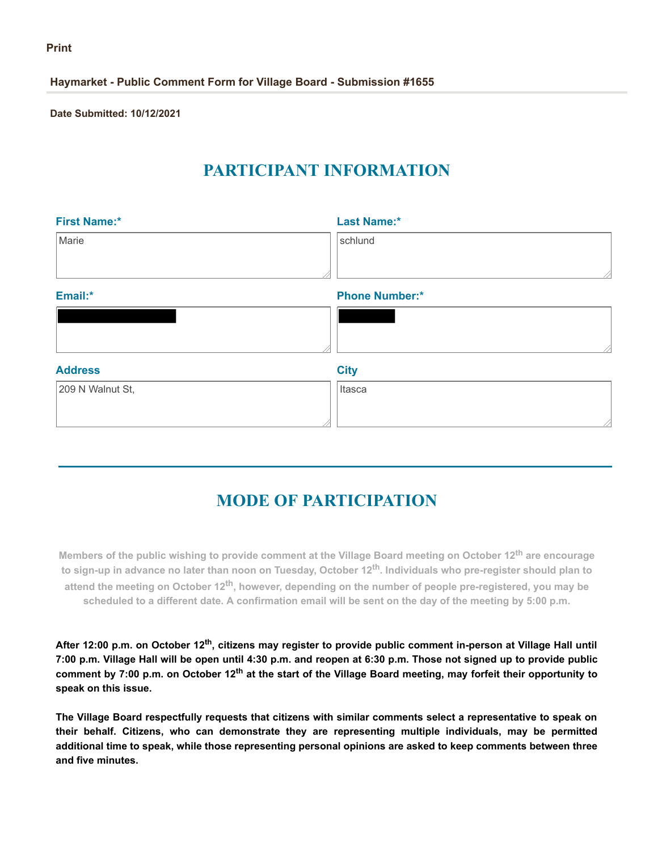**Haymarket - Public Comment Form for Village Board - Submission #1655**

**Date Submitted: 10/12/2021**

# **PARTICIPANT INFORMATION**

| <b>First Name:*</b> | <b>Last Name:*</b>    |
|---------------------|-----------------------|
| Marie               | schlund               |
|                     |                       |
| Email:*             | <b>Phone Number:*</b> |
|                     |                       |
|                     |                       |
| <b>Address</b>      | <b>City</b>           |
| 209 N Walnut St,    | Itasca                |
|                     |                       |

# **MODE OF PARTICIPATION**

Members of the public wishing to provide comment at the Village Board meeting on October 12<sup>th</sup> are encourage to sign-up in advance no later than noon on Tuesday, October 12<sup>th</sup>. Individuals who pre-register should plan to **attend the meeting on October 12th, however, depending on the number of people pre-registered, you may be scheduled to a different date. A confirmation email will be sent on the day of the meeting by 5:00 p.m.**

After 12:00 p.m. on October 12<sup>th</sup>, citizens may register to provide public comment in-person at Village Hall until **7:00 p.m. Village Hall will be open until 4:30 p.m. and reopen at 6:30 p.m. Those not signed up to provide public** comment by 7:00 p.m. on October 12<sup>th</sup> at the start of the Village Board meeting, may forfeit their opportunity to **speak on this issue.**

**The Village Board respectfully requests that citizens with similar comments select a representative to speak on their behalf. Citizens, who can demonstrate they are representing multiple individuals, may be permitted additional time to speak, while those representing personal opinions are asked to keep comments between three and five minutes.**